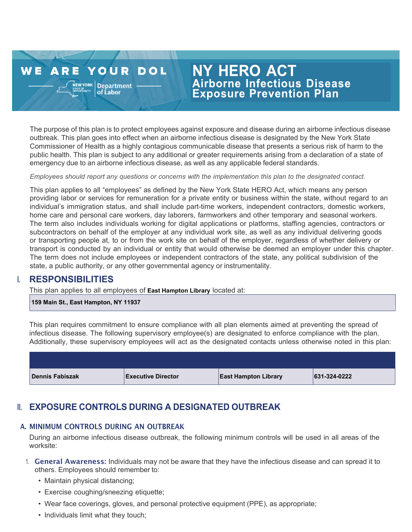#### **WE ARE YOUR DOL**  $N$ EWYORK Department

of Labor

# **NY HERO ACT Airborne Infectious Disease**<br>Exposure Prevention Plan

The purpose of this plan is to protect employees against exposure and disease during an airborne infectious disease outbreak. This plan goes into effect when an airborne infectious disease is designated by the New York State Commissioner of Health as a highly contagious communicable disease that presents a serious risk of harm to the public health. This plan is subject to any additional or greater requirements arising from a declaration of a state of emergency due to an airborne infectious disease, as well as any applicable federal standards.

*Employees should report any questions or concerns with the implementation this plan to the designated contact.*

This plan applies to all "employees" as defined by the New York State HERO Act, which means any person providing labor or services for remuneration for a private entity or business within the state, without regard to an individual's immigration status, and shall include part-time workers, independent contractors, domestic workers, home care and personal care workers, day laborers, farmworkers and other temporary and seasonal workers. The term also includes individuals working for digital applications or platforms, staffing agencies, contractors or subcontractors on behalf of the employer at any individual work site, as well as any individual delivering goods or transporting people at, to or from the work site on behalf of the employer, regardless of whether delivery or transport is conducted by an individual or entity that would otherwise be deemed an employer under this chapter. The term does not include employees or independent contractors of the state, any political subdivision of the state, a public authority, or any other governmental agency or instrumentality.

## I. **RESPONSIBILITIES**

This plan applies to all employees of **East Hampton Library** located at:

**159 Main St., East Hampton, NY 11937**

This plan requires commitment to ensure compliance with all plan elements aimed at preventing the spread of infectious disease. The following supervisory employee(s) are designated to enforce compliance with the plan. Additionally, these supervisory employees will act as the designated contacts unless otherwise noted in this plan:

| <b>Dennis Fabiszak</b> | <b>Executive Director</b> | <b>East Hampton Library</b> | 631-324-0222 |
|------------------------|---------------------------|-----------------------------|--------------|

## II. **EXPOSURE CONTROLS DURING A DESIGNATED OUTBREAK**

#### A. MINIMUM CONTROLS DURING AN OUTBREAK

During an airborne infectious disease outbreak, the following minimum controls will be used in all areas of the worksite:

- 1. General Awareness: Individuals may not be aware that they have the infectious disease and can spread it to others. Employees should remember to:
	- Maintain physical distancing;
	- Exercise coughing/sneezing etiquette;
	- Wear face coverings, gloves, and personal protective equipment (PPE), as appropriate;
	- Individuals limit what they touch;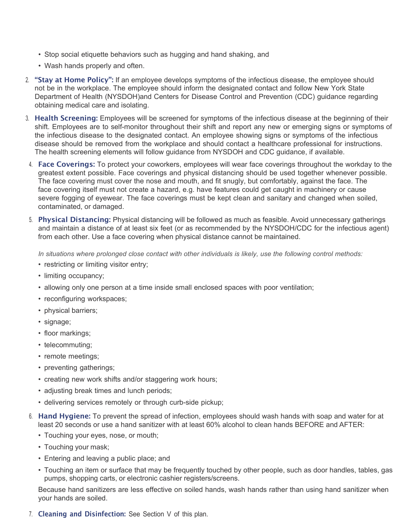- Stop social etiquette behaviors such as hugging and hand shaking, and
- Wash hands properly and often.
- 2. "Stay at Home Policy": If an employee develops symptoms of the infectious disease, the employee should not be in the workplace. The employee should inform the designated contact and follow New York State Department of Health (NYSDOH)and Centers for Disease Control and Prevention (CDC) guidance regarding obtaining medical care and isolating.
- 3. Health Screening: Employees will be screened for symptoms of the infectious disease at the beginning of their shift. Employees are to self-monitor throughout their shift and report any new or emerging signs or symptoms of the infectious disease to the designated contact. An employee showing signs or symptoms of the infectious disease should be removed from the workplace and should contact a healthcare professional for instructions. The health screening elements will follow guidance from NYSDOH and CDC guidance, if available.
- 4. Face Coverings: To protect your coworkers, employees will wear face coverings throughout the workday to the greatest extent possible. Face coverings and physical distancing should be used together whenever possible. The face covering must cover the nose and mouth, and fit snugly, but comfortably, against the face. The face covering itself must not create a hazard, e.g. have features could get caught in machinery or cause severe fogging of eyewear. The face coverings must be kept clean and sanitary and changed when soiled, contaminated, or damaged.
- 5. Physical Distancing: Physical distancing will be followed as much as feasible. Avoid unnecessary gatherings and maintain a distance of at least six feet (or as recommended by the NYSDOH/CDC for the infectious agent) from each other. Use a face covering when physical distance cannot be maintained.

*In situations where prolonged close contact with other individuals is likely, use the following control methods:*

- restricting or limiting visitor entry;
- limiting occupancy;
- allowing only one person at a time inside small enclosed spaces with poor ventilation;
- reconfiguring workspaces;
- physical barriers;
- signage;
- floor markings;
- telecommuting;
- remote meetings;
- preventing gatherings;
- creating new work shifts and/or staggering work hours;
- adjusting break times and lunch periods;
- delivering services remotely or through curb-side pickup;
- 6. Hand Hygiene: To prevent the spread of infection, employees should wash hands with soap and water for at least 20 seconds or use a hand sanitizer with at least 60% alcohol to clean hands BEFORE and AFTER:
	- Touching your eyes, nose, or mouth;
	- Touching your mask;
	- Entering and leaving a public place; and
	- Touching an item or surface that may be frequently touched by other people, such as door handles, tables, gas pumps, shopping carts, or electronic cashier registers/screens.

Because hand sanitizers are less effective on soiled hands, wash hands rather than using hand sanitizer when your hands are soiled.

7. Cleaning and Disinfection: See Section V of this plan.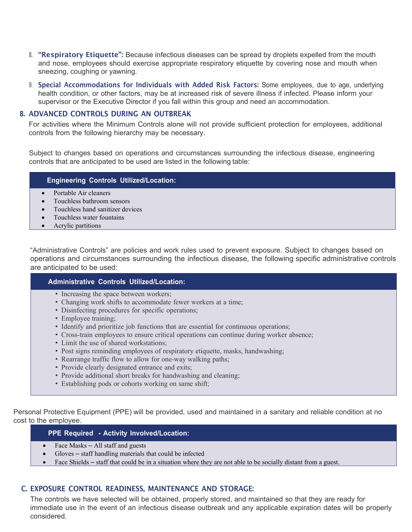- 8. "Respiratory Etiquette": Because infectious diseases can be spread by droplets expelled from the mouth and nose, employees should exercise appropriate respiratory etiquette by covering nose and mouth when sneezing, coughing or yawning.
- 9. Special Accommodations for Individuals with Added Risk Factors: Some employees, due to age, underlying health condition, or other factors, may be at increased risk of severe illness if infected. Please inform your supervisor or the Executive Director if you fall within this group and need an accommodation.

#### B. ADVANCED CONTROLS DURING AN OUTBREAK

For activities where the Minimum Controls alone will not provide sufficient protection for employees, additional controls from the following hierarchy may be necessary.

Subject to changes based on operations and circumstances surrounding the infectious disease, engineering controls that are anticipated to be used are listed in the following table:

#### **Engineering Controls Utilized/Location:**

- Portable Air cleaners
- Touchless bathroom sensors
- Touchless hand sanitizer devices
- Touchless water fountains
- Acrylic partitions

"Administrative Controls" are policies and work rules used to prevent exposure. Subject to changes based on operations and circumstances surrounding the infectious disease, the following specific administrative controls are anticipated to be used:

#### **Administrative Controls Utilized/Location:**

- Increasing the space between workers;
- Changing work shifts to accommodate fewer workers at a time;
- Disinfecting procedures for specific operations;
- Employee training;
- Identify and prioritize job functions that are essential for continuous operations;
- Cross-train employees to ensure critical operations can continue during worker absence;
- Limit the use of shared workstations:
- Post signs reminding employees of respiratory etiquette, masks, handwashing;
- Rearrange traffic flow to allow for one-way walking paths;
- Provide clearly designated entrance and exits:
- Provide additional short breaks for handwashing and cleaning;
- Establishing pods or cohorts working on same shift;

Personal Protective Equipment (PPE) will be provided, used and maintained in a sanitary and reliable condition at no cost to the employee.

#### **PPE Required - Activity Involved/Location:**

- Face Masks All staff and guests
- Gloves staff handling materials that could be infected
- Face Shields staff that could be in a situation where they are not able to be socially distant from a guest.

#### C. EXPOSURE CONTROL READINESS, MAINTENANCE AND STORAGE:

The controls we have selected will be obtained, properly stored, and maintained so that they are ready for immediate use in the event of an infectious disease outbreak and any applicable expiration dates will be properly considered.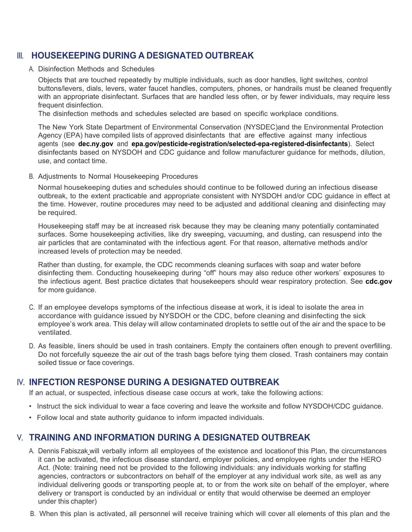## III. **HOUSEKEEPING DURING A DESIGNATED OUTBREAK**

A. Disinfection Methods and Schedules

Objects that are touched repeatedly by multiple individuals, such as door handles, light switches, control buttons/levers, dials, levers, water faucet handles, computers, phones, or handrails must be cleaned frequently with an appropriate disinfectant. Surfaces that are handled less often, or by fewer individuals, may require less frequent disinfection.

The disinfection methods and schedules selected are based on specific workplace conditions.

The New York State Department of Environmental Conservation (NYSDEC)and the Environmental Protection Agency (EPA) have compiled lists of approved disinfectants that are effective against many infectious agents (see **[dec.ny.gov](https://www.dec.ny.gov/)** and **[epa.gov/pesticide-registration/selected-epa-registered-disinfectants](https://www.epa.gov/pesticide-registration/selected-epa-registered-disinfectants)**). Select disinfectants based on NYSDOH and CDC guidance and follow manufacturer guidance for methods, dilution, use, and contact time.

B. Adjustments to Normal Housekeeping Procedures

Normal housekeeping duties and schedules should continue to be followed during an infectious disease outbreak, to the extent practicable and appropriate consistent with NYSDOH and/or CDC guidance in effect at the time. However, routine procedures may need to be adjusted and additional cleaning and disinfecting may be required.

Housekeeping staff may be at increased risk because they may be cleaning many potentially contaminated surfaces. Some housekeeping activities, like dry sweeping, vacuuming, and dusting, can resuspend into the air particles that are contaminated with the infectious agent. For that reason, alternative methods and/or increased levels of protection may be needed.

Rather than dusting, for example, the CDC recommends cleaning surfaces with soap and water before disinfecting them. Conducting housekeeping during "off" hours may also reduce other workers' exposures to the infectious agent. Best practice dictates that housekeepers should wear respiratory protection. See **[cdc.gov](https://www.cdc.gov/)** for more guidance.

- C. If an employee develops symptoms of the infectious disease at work, it is ideal to isolate the area in accordance with guidance issued by NYSDOH or the CDC, before cleaning and disinfecting the sick employee's work area. This delay will allow contaminated droplets to settle out of the air and the space to be ventilated.
- D. As feasible, liners should be used in trash containers. Empty the containers often enough to prevent overfilling. Do not forcefully squeeze the air out of the trash bags before tying them closed. Trash containers may contain soiled tissue or face coverings.

## IV. **INFECTION RESPONSE DURING A DESIGNATED OUTBREAK**

If an actual, or suspected, infectious disease case occurs at work, take the following actions:

- Instruct the sick individual to wear a face covering and leave the worksite and follow NYSDOH/CDC guidance.
- Follow local and state authority guidance to inform impacted individuals.

## V. **TRAINING AND INFORMATION DURING A DESIGNATED OUTBREAK**

- A. Dennis Fabiszak will verbally inform all employees of the existence and location of this Plan, the circumstances it can be activated, the infectious disease standard, employer policies, and employee rights under the HERO Act. (Note: training need not be provided to the following individuals: any individuals working for staffing agencies, contractors or subcontractors on behalf of the employer at any individual work site, as well as any individual delivering goods or transporting people at, to or from the work site on behalf of the employer, where delivery or transport is conducted by an individual or entity that would otherwise be deemed an employer under this chapter)
- B. When this plan is activated, all personnel will receive training which will cover all elements of this plan and the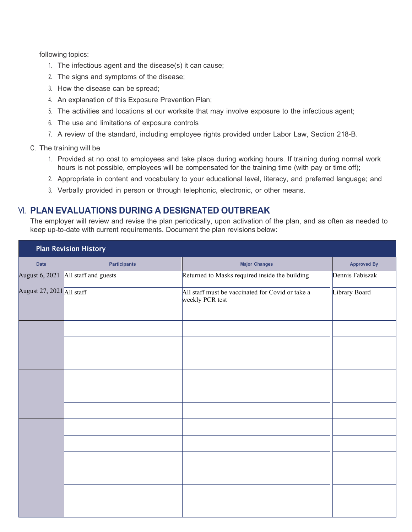following topics:

- 1. The infectious agent and the disease(s) it can cause;
- 2. The signs and symptoms of the disease;
- 3. How the disease can be spread;
- 4. An explanation of this Exposure Prevention Plan;
- 5. The activities and locations at our worksite that may involve exposure to the infectious agent;
- 6. The use and limitations of exposure controls
- 7. A review of the standard, including employee rights provided under Labor Law, Section 218-B.

#### C. The training will be

- 1. Provided at no cost to employees and take place during working hours. If training during normal work hours is not possible, employees will be compensated for the training time (with pay or time off);
- 2. Appropriate in content and vocabulary to your educational level, literacy, and preferred language; and
- 3. Verbally provided in person or through telephonic, electronic, or other means.

### VI. **PLAN EVALUATIONS DURING A DESIGNATED OUTBREAK**

The employer will review and revise the plan periodically, upon activation of the plan, and as often as needed to keep up-to-date with current requirements. Document the plan revisions below:

| <b>Plan Revision History</b> |                                     |                                                                     |                    |  |  |
|------------------------------|-------------------------------------|---------------------------------------------------------------------|--------------------|--|--|
| <b>Date</b>                  | <b>Participants</b>                 | <b>Major Changes</b>                                                | <b>Approved By</b> |  |  |
|                              | August 6, 2021 All staff and guests | Returned to Masks required inside the building                      | Dennis Fabiszak    |  |  |
| August 27, 2021 All staff    |                                     | All staff must be vaccinated for Covid or take a<br>weekly PCR test | Library Board      |  |  |
|                              |                                     |                                                                     |                    |  |  |
|                              |                                     |                                                                     |                    |  |  |
|                              |                                     |                                                                     |                    |  |  |
|                              |                                     |                                                                     |                    |  |  |
|                              |                                     |                                                                     |                    |  |  |
|                              |                                     |                                                                     |                    |  |  |
|                              |                                     |                                                                     |                    |  |  |
|                              |                                     |                                                                     |                    |  |  |
|                              |                                     |                                                                     |                    |  |  |
|                              |                                     |                                                                     |                    |  |  |
|                              |                                     |                                                                     |                    |  |  |
|                              |                                     |                                                                     |                    |  |  |
|                              |                                     |                                                                     |                    |  |  |